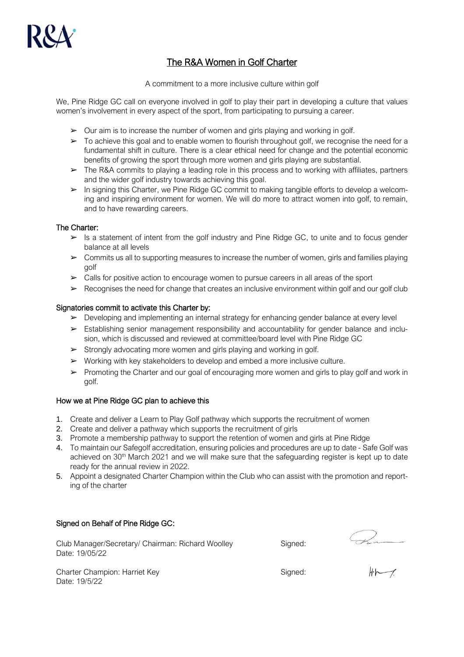

# The R&A Women in Golf Charter

A commitment to a more inclusive culture within golf

We, Pine Ridge GC call on everyone involved in golf to play their part in developing a culture that values women's involvement in every aspect of the sport, from participating to pursuing a career.

- $\triangleright$  Our aim is to increase the number of women and girls playing and working in golf.
- ➢ To achieve this goal and to enable women to flourish throughout golf, we recognise the need for a fundamental shift in culture. There is a clear ethical need for change and the potential economic benefits of growing the sport through more women and girls playing are substantial.
- ➢ The R&A commits to playing a leading role in this process and to working with affiliates, partners and the wider golf industry towards achieving this goal.
- ➢ In signing this Charter, we Pine Ridge GC commit to making tangible efforts to develop a welcoming and inspiring environment for women. We will do more to attract women into golf, to remain, and to have rewarding careers.

## The Charter:

- $\triangleright$  Is a statement of intent from the golf industry and Pine Ridge GC, to unite and to focus gender balance at all levels
- $\triangleright$  Commits us all to supporting measures to increase the number of women, girls and families playing golf
- ➢ Calls for positive action to encourage women to pursue careers in all areas of the sport
- $\triangleright$  Recognises the need for change that creates an inclusive environment within golf and our golf club

### Signatories commit to activate this Charter by:

- ➢ Developing and implementing an internal strategy for enhancing gender balance at every level
- ➢ Establishing senior management responsibility and accountability for gender balance and inclusion, which is discussed and reviewed at committee/board level with Pine Ridge GC
- ➢ Strongly advocating more women and girls playing and working in golf.
- $\triangleright$  Working with key stakeholders to develop and embed a more inclusive culture.
- ➢ Promoting the Charter and our goal of encouraging more women and girls to play golf and work in golf.

### How we at Pine Ridge GC plan to achieve this

- 1. Create and deliver a Learn to Play Golf pathway which supports the recruitment of women
- 2. Create and deliver a pathway which supports the recruitment of girls
- 3. Promote a membership pathway to support the retention of women and girls at Pine Ridge
- 4. To maintain our Safegolf accreditation, ensuring policies and procedures are up to date Safe Golf was achieved on 30<sup>th</sup> March 2021 and we will make sure that the safeguarding register is kept up to date ready for the annual review in 2022.
- 5. Appoint a designated Charter Champion within the Club who can assist with the promotion and reporting of the charter

### Signed on Behalf of Pine Ridge GC:

Club Manager/Secretary/ Chairman: Richard Woolley Signed: Date: 19/05/22

Charter Champion: Harriet Key Signed: Signed: Date: 19/5/22

 $\frac{44}{44}$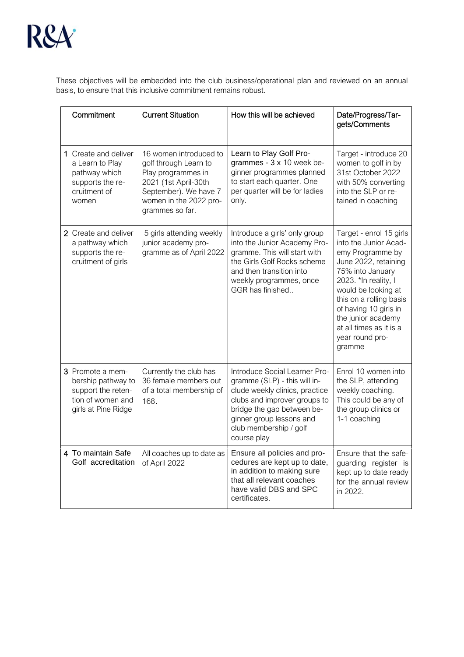

These objectives will be embedded into the club business/operational plan and reviewed on an annual basis, to ensure that this inclusive commitment remains robust.

|                | Commitment                                                                                             | <b>Current Situation</b>                                                                                                                                            | How this will be achieved                                                                                                                                                                                                          | Date/Progress/Tar-<br>gets/Comments                                                                                                                                                                                                                                                               |
|----------------|--------------------------------------------------------------------------------------------------------|---------------------------------------------------------------------------------------------------------------------------------------------------------------------|------------------------------------------------------------------------------------------------------------------------------------------------------------------------------------------------------------------------------------|---------------------------------------------------------------------------------------------------------------------------------------------------------------------------------------------------------------------------------------------------------------------------------------------------|
| 1              | Create and deliver<br>a Learn to Play<br>pathway which<br>supports the re-<br>cruitment of<br>women    | 16 women introduced to<br>golf through Learn to<br>Play programmes in<br>2021 (1st April-30th<br>September). We have 7<br>women in the 2022 pro-<br>grammes so far. | Learn to Play Golf Pro-<br>grammes - 3 x 10 week be-<br>ginner programmes planned<br>to start each quarter. One<br>per quarter will be for ladies<br>only.                                                                         | Target - introduce 20<br>women to golf in by<br>31st October 2022<br>with 50% converting<br>into the SLP or re-<br>tained in coaching                                                                                                                                                             |
| $\overline{2}$ | Create and deliver<br>a pathway which<br>supports the re-<br>cruitment of girls                        | 5 girls attending weekly<br>junior academy pro-<br>gramme as of April 2022                                                                                          | Introduce a girls' only group<br>into the Junior Academy Pro-<br>gramme. This will start with<br>the Girls Golf Rocks scheme<br>and then transition into<br>weekly programmes, once<br>GGR has finished                            | Target - enrol 15 girls<br>into the Junior Acad-<br>emy Programme by<br>June 2022, retaining<br>75% into January<br>2023. *In reality, I<br>would be looking at<br>this on a rolling basis<br>of having 10 girls in<br>the junior academy<br>at all times as it is a<br>year round pro-<br>gramme |
| 3              | Promote a mem-<br>bership pathway to<br>support the reten-<br>tion of women and<br>girls at Pine Ridge | Currently the club has<br>36 female members out<br>of a total membership of<br>168.                                                                                 | Introduce Social Learner Pro-<br>gramme (SLP) - this will in-<br>clude weekly clinics, practice<br>clubs and improver groups to<br>bridge the gap between be-<br>ginner group lessons and<br>club membership / golf<br>course play | Enrol 10 women into<br>the SLP, attending<br>weekly coaching.<br>This could be any of<br>the group clinics or<br>1-1 coaching                                                                                                                                                                     |
|                | To maintain Safe<br>41<br>Golf accreditation                                                           | All coaches up to date as<br>of April 2022                                                                                                                          | Ensure all policies and pro-<br>cedures are kept up to date,<br>in addition to making sure<br>that all relevant coaches<br>have valid DBS and SPC<br>certificates.                                                                 | Ensure that the safe-<br>guarding register is<br>kept up to date ready<br>for the annual review<br>in 2022.                                                                                                                                                                                       |